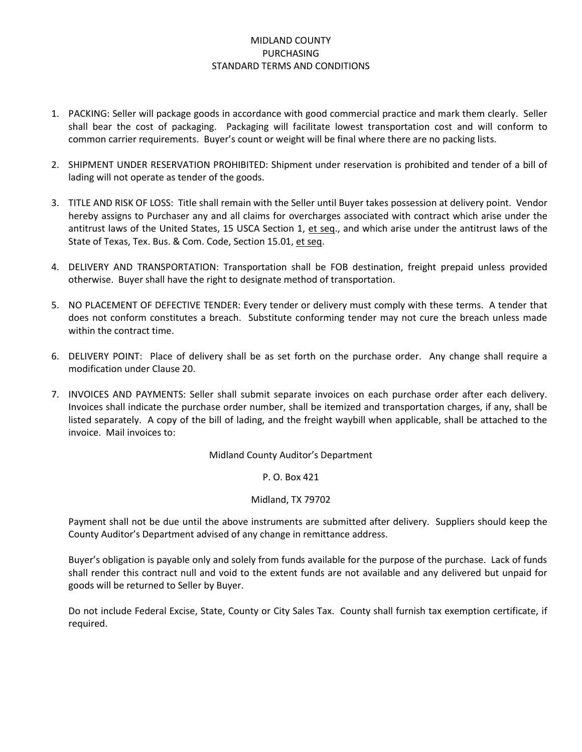## MIDLAND COUNTY PURCHASING STANDARD TERMS AND CONDITIONS

- 1. PACKING: Seller will package goods in accordance with good commercial practice and mark them clearly. Seller shall bear the cost of packaging. Packaging will facilitate lowest transportation cost and will conform to common carrier requirements. Buyer's count or weight will be final where there are no packing lists.
- 2. SHIPMENT UNDER RESERVATION PROHIBITED: Shipment under reservation is prohibited and tender of a bill of lading will not operate as tender of the goods.
- 3. TITLE AND RISK OF LOSS: Title shall remain with the Seller until Buyer takes possession at delivery point. Vendor hereby assigns to Purchaser any and all claims for overcharges associated with contract which arise under the antitrust laws of the United States, 15 USCA Section 1, et seq., and which arise under the antitrust laws of the State of Texas, Tex. Bus. & Com. Code, Section 15.01, et seq.
- 4. DELIVERY AND TRANSPORTATION: Transportation shall be FOB destination, freight prepaid unless provided otherwise. Buyer shall have the right to designate method of transportation.
- 5. NO PLACEMENT OF DEFECTIVE TENDER: Every tender or delivery must comply with these terms. A tender that does not conform constitutes a breach. Substitute conforming tender may not cure the breach unless made within the contract time.
- 6. DELIVERY POINT: Place of delivery shall be as set forth on the purchase order. Any change shall require a modification under Clause 20.
- 7. INVOICES AND PAYMENTS: Seller shall submit separate invoices on each purchase order after each delivery. Invoices shall indicate the purchase order number, shall be itemized and transportation charges, if any, shall be listed separately. A copy of the bill of lading, and the freight waybill when applicable, shall be attached to the invoice. Mail invoices to:

Midland County Auditor's Department

## P. O. Box 421

## Midland, TX 79702

Payment shall not be due until the above instruments are submitted after delivery. Suppliers should keep the County Auditor's Department advised of any change in remittance address.

Buyer's obligation is payable only and solely from funds available for the purpose of the purchase. Lack of funds shall render this contract null and void to the extent funds are not available and any delivered but unpaid for goods will be returned to Seller by Buyer.

Do not include Federal Excise, State, County or City Sales Tax. County shall furnish tax exemption certificate, if required.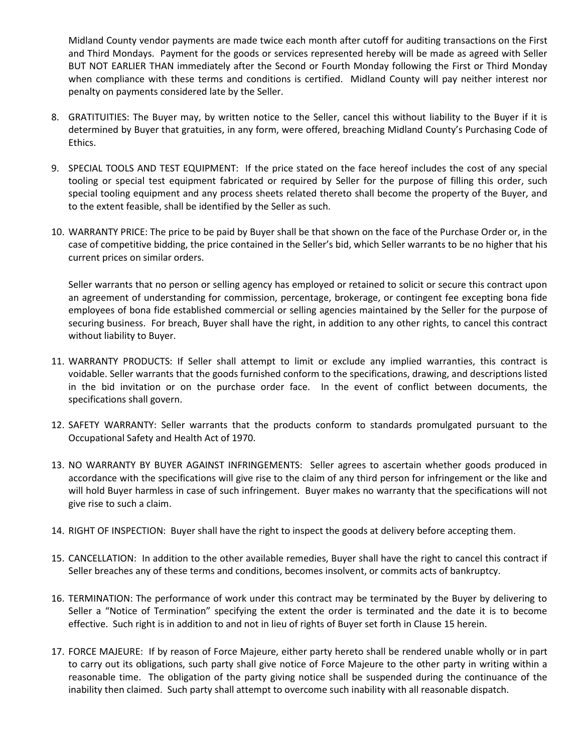Midland County vendor payments are made twice each month after cutoff for auditing transactions on the First and Third Mondays. Payment for the goods or services represented hereby will be made as agreed with Seller BUT NOT EARLIER THAN immediately after the Second or Fourth Monday following the First or Third Monday when compliance with these terms and conditions is certified. Midland County will pay neither interest nor penalty on payments considered late by the Seller.

- 8. GRATITUITIES: The Buyer may, by written notice to the Seller, cancel this without liability to the Buyer if it is determined by Buyer that gratuities, in any form, were offered, breaching Midland County's Purchasing Code of Ethics.
- 9. SPECIAL TOOLS AND TEST EQUIPMENT: If the price stated on the face hereof includes the cost of any special tooling or special test equipment fabricated or required by Seller for the purpose of filling this order, such special tooling equipment and any process sheets related thereto shall become the property of the Buyer, and to the extent feasible, shall be identified by the Seller as such.
- 10. WARRANTY PRICE: The price to be paid by Buyer shall be that shown on the face of the Purchase Order or, in the case of competitive bidding, the price contained in the Seller's bid, which Seller warrants to be no higher that his current prices on similar orders.

Seller warrants that no person or selling agency has employed or retained to solicit or secure this contract upon an agreement of understanding for commission, percentage, brokerage, or contingent fee excepting bona fide employees of bona fide established commercial or selling agencies maintained by the Seller for the purpose of securing business. For breach, Buyer shall have the right, in addition to any other rights, to cancel this contract without liability to Buyer.

- 11. WARRANTY PRODUCTS: If Seller shall attempt to limit or exclude any implied warranties, this contract is voidable. Seller warrants that the goods furnished conform to the specifications, drawing, and descriptions listed in the bid invitation or on the purchase order face. In the event of conflict between documents, the specifications shall govern.
- 12. SAFETY WARRANTY: Seller warrants that the products conform to standards promulgated pursuant to the Occupational Safety and Health Act of 1970.
- 13. NO WARRANTY BY BUYER AGAINST INFRINGEMENTS: Seller agrees to ascertain whether goods produced in accordance with the specifications will give rise to the claim of any third person for infringement or the like and will hold Buyer harmless in case of such infringement. Buyer makes no warranty that the specifications will not give rise to such a claim.
- 14. RIGHT OF INSPECTION: Buyer shall have the right to inspect the goods at delivery before accepting them.
- 15. CANCELLATION: In addition to the other available remedies, Buyer shall have the right to cancel this contract if Seller breaches any of these terms and conditions, becomes insolvent, or commits acts of bankruptcy.
- 16. TERMINATION: The performance of work under this contract may be terminated by the Buyer by delivering to Seller a "Notice of Termination" specifying the extent the order is terminated and the date it is to become effective. Such right is in addition to and not in lieu of rights of Buyer set forth in Clause 15 herein.
- 17. FORCE MAJEURE: If by reason of Force Majeure, either party hereto shall be rendered unable wholly or in part to carry out its obligations, such party shall give notice of Force Majeure to the other party in writing within a reasonable time. The obligation of the party giving notice shall be suspended during the continuance of the inability then claimed. Such party shall attempt to overcome such inability with all reasonable dispatch.